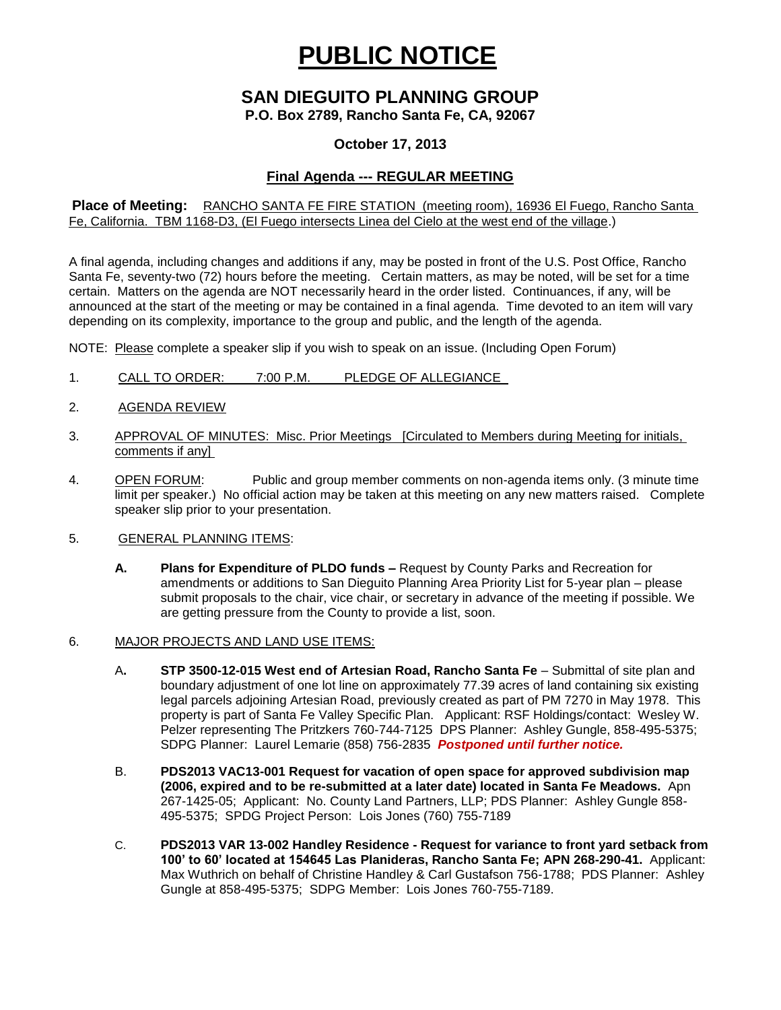# **PUBLIC NOTICE**

## **SAN DIEGUITO PLANNING GROUP**

**P.O. Box 2789, Rancho Santa Fe, CA, 92067**

#### **October 17, 2013**

### **Final Agenda --- REGULAR MEETING**

**Place of Meeting:** RANCHO SANTA FE FIRE STATION (meeting room), 16936 El Fuego, Rancho Santa Fe, California. TBM 1168-D3, (El Fuego intersects Linea del Cielo at the west end of the village.)

A final agenda, including changes and additions if any, may be posted in front of the U.S. Post Office, Rancho Santa Fe, seventy-two (72) hours before the meeting. Certain matters, as may be noted, will be set for a time certain. Matters on the agenda are NOT necessarily heard in the order listed. Continuances, if any, will be announced at the start of the meeting or may be contained in a final agenda. Time devoted to an item will vary depending on its complexity, importance to the group and public, and the length of the agenda.

NOTE: Please complete a speaker slip if you wish to speak on an issue. (Including Open Forum)

- 1. CALL TO ORDER: 7:00 P.M. PLEDGE OF ALLEGIANCE
- 2. AGENDA REVIEW
- 3. APPROVAL OF MINUTES: Misc. Prior Meetings [Circulated to Members during Meeting for initials, comments if any]
- 4. OPEN FORUM: Public and group member comments on non-agenda items only. (3 minute time limit per speaker.) No official action may be taken at this meeting on any new matters raised. Complete speaker slip prior to your presentation.
- 5. GENERAL PLANNING ITEMS:
	- **A. Plans for Expenditure of PLDO funds –** Request by County Parks and Recreation for amendments or additions to San Dieguito Planning Area Priority List for 5-year plan – please submit proposals to the chair, vice chair, or secretary in advance of the meeting if possible. We are getting pressure from the County to provide a list, soon.
- 6. MAJOR PROJECTS AND LAND USE ITEMS:
	- A**. STP 3500-12-015 West end of Artesian Road, Rancho Santa Fe** Submittal of site plan and boundary adjustment of one lot line on approximately 77.39 acres of land containing six existing legal parcels adjoining Artesian Road, previously created as part of PM 7270 in May 1978. This property is part of Santa Fe Valley Specific Plan.Applicant: RSF Holdings/contact: Wesley W. Pelzer representing The Pritzkers 760-744-7125 DPS Planner: Ashley Gungle, 858-495-5375; SDPG Planner: Laurel Lemarie (858) 756-2835 *Postponed until further notice.*
	- B. **PDS2013 VAC13-001 Request for vacation of open space for approved subdivision map (2006, expired and to be re-submitted at a later date) located in Santa Fe Meadows.** Apn 267-1425-05; Applicant: No. County Land Partners, LLP; PDS Planner: Ashley Gungle 858- 495-5375; SPDG Project Person: Lois Jones (760) 755-7189
	- C. **PDS2013 VAR 13-002 Handley Residence - Request for variance to front yard setback from 100' to 60' located at 154645 Las Planideras, Rancho Santa Fe; APN 268-290-41.** Applicant: Max Wuthrich on behalf of Christine Handley & Carl Gustafson 756-1788; PDS Planner: Ashley Gungle at 858-495-5375; SDPG Member: Lois Jones 760-755-7189.